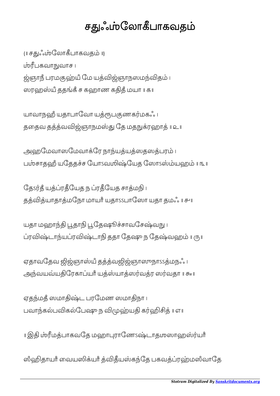## சதுஃப்பரேகவதம்

{॥ சஃேலாபாகவத ॥} பகவாவாச । ஜ்ஞாநீ பரமகுஹ்யீ மே யத்விஜ்ஞாநஸமந்விதம் ၊ ஸரஹஸ்யீ ததங்கீ ச கஹாண கதிதீ மயா ။ கா

யாவாநஹீ யதாபாவோ யத்ரூபகுணகர்மகஃ ப ததைவ தத்த்வவிஜ்ஞாநமஸ்து தே மதநுக்ரஹாத் ॥ உ॥

அஹமேவாஸமேவாக்ரே நாந்யத்யத்ஸதஸத்பரம் । பசாதஹஂ யேததச ேயாऽவஶிேயத ேஸாऽயஹ ॥ ௩॥

தே ர்கீ யக்ப்ரகீயேக ந ப்ரகீயேக சாக்மநி ப தத்வித்யாதாத்மநோ மாயாீ யதாssபாஸோ யதா தமஃ ။ சுய

யதா மஹாந்தி பூதாநி பூதேஷூச்சாவசேஷ்வநு ၊ ப்ரவிஷ்டாந்யப்ரவிஷ்டாநி ததா தேஷு ந தேஷ்வஹம் ။ ரு။

ஏதாவதேவ ஜிஜ்ஞாஸ்யீ தத்த்வஜிஜ்ஞாஸுநாssத்மநஃ ၊ அந்வயவ்யதிரேகாப்யாீ யத்ஸ்யாத்ஸர்வத்ர ஸர்வதா ॥ சு ॥

ஏதந்மதீ ஸமாதிஷ்ட பரமேண ஸமாதிநா ၊ பவாந்கல்பவிகல்பேஷு ந விமுஹ்யதி கர்ஹிசித் ॥ எ॥

॥ இ மபாகவேத மஹாராேணऽடாதஶஸாஹயாஂ

ஸீஹிதாயாீ வையஸிக்யாீ த்விதீயஸ்கந்தே பகவத்ப்ரஹ்மஸீவாதே